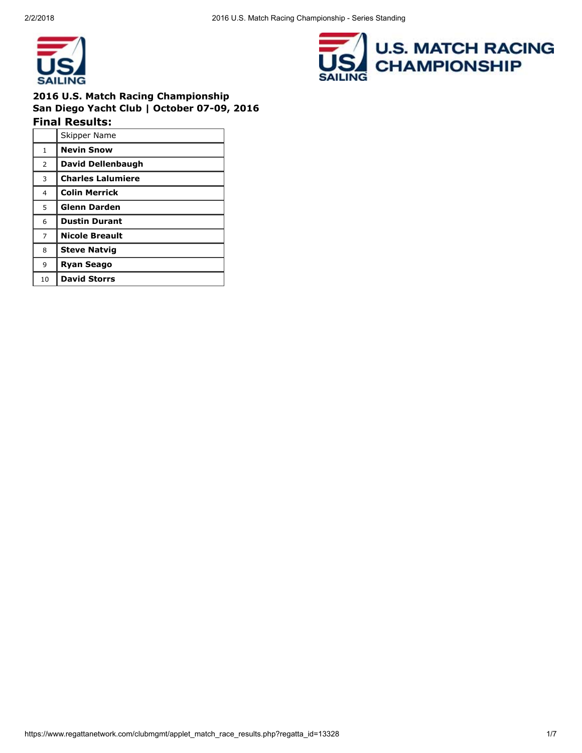

# 2016 U.S. Match Racing Championship San Diego Yacht Club | October 07-09, 2016

Final Results: Skipper Name 1 Nevin Snow 2 David Dellenbaugh 3 Charles Lalumiere 4 | Colin Merrick 5 Glenn Darden 6 Dustin Durant 7 Nicole Breault 8 Steve Natvig 9 **Ryan Seago** 10 | David Storrs

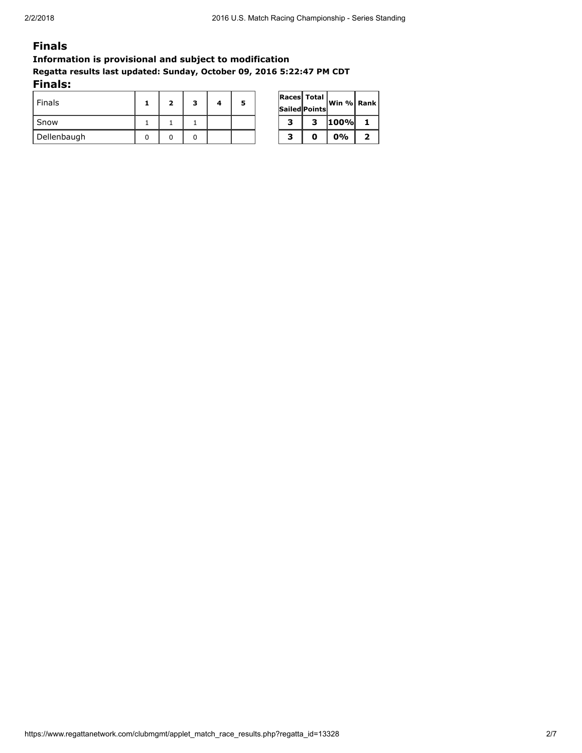#### Finals

#### Information is provisional and subject to modification Regatta results last updated: Sunday, October 09, 2016 5:22:47 PM CDT Finals:

| .             |   |   |   |   |                                     |             |   |
|---------------|---|---|---|---|-------------------------------------|-------------|---|
| <b>Finals</b> | 2 | з | 5 |   | <b>Races Total</b><br>Sailed Points | Win % Ran   |   |
| Snow          |   |   |   | 2 | 3                                   | <b>100%</b> |   |
| Dellenbaugh   |   |   |   |   | O                                   | 0%          | ר |

|   | Races Total   | Win % $ $ Rank $ $ |   |  |  |
|---|---------------|--------------------|---|--|--|
|   | Sailed Points |                    |   |  |  |
| З | з             | 100%               |   |  |  |
| з | Ω             | 0%                 | 2 |  |  |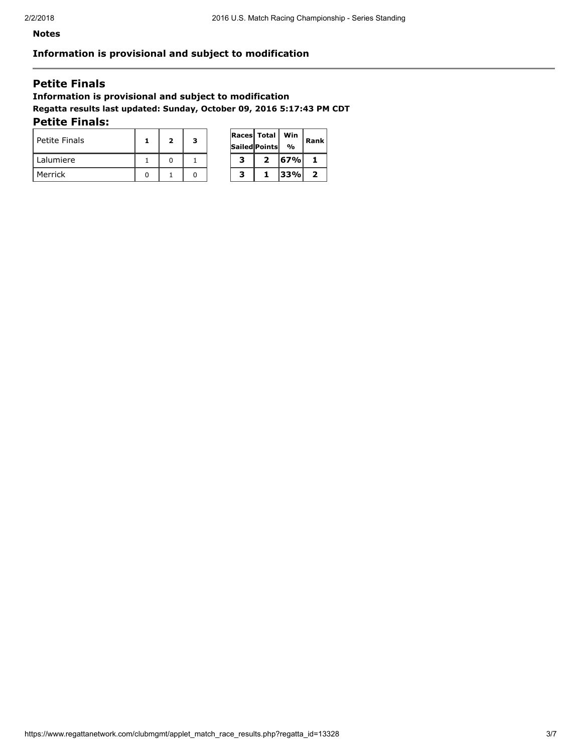$\overline{\phantom{a}}$ 

 $\overline{\phantom{0}}$ 

#### Notes

#### Information is provisional and subject to modification

#### Petite Finals

# Information is provisional and subject to modification Regatta results last updated: Sunday, October 09, 2016 5:17:43 PM CDT

 $\overline{a}$ 

#### Petite Finals:

| Petite Finals | 2 | 3 |   | <b>Races Total</b><br>Sailed Points | Win<br>$\frac{0}{0}$ | Ran |
|---------------|---|---|---|-------------------------------------|----------------------|-----|
| Lalumiere     |   |   | з |                                     | 67%                  |     |
| Merrick       |   |   | з |                                     | 33%                  |     |

|   | Races Total   | Win | Rank |  |
|---|---------------|-----|------|--|
|   | Sailed Points | %   |      |  |
| з | 2             | 67% |      |  |
| 3 |               | 33% | 2    |  |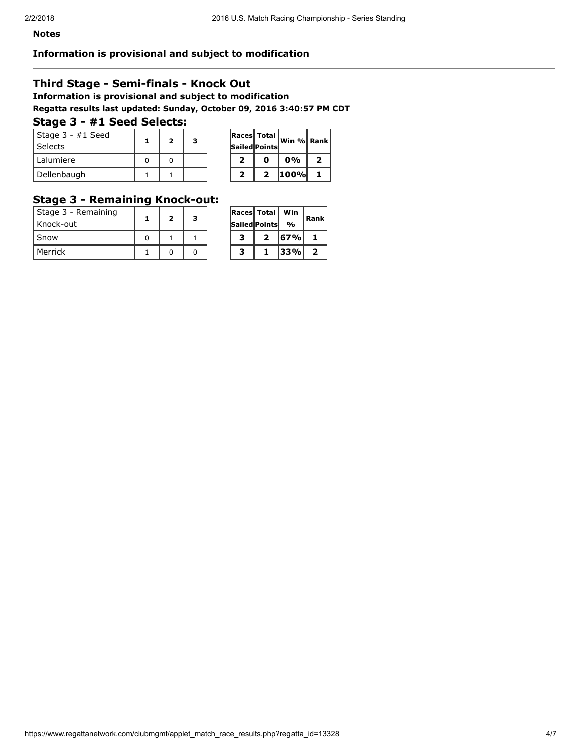#### Information is provisional and subject to modification

#### Third Stage - Semi-finals - Knock Out

Information is provisional and subject to modification Regatta results last updated: Sunday, October 09, 2016 3:40:57 PM CDT

#### Stage 3 - #1 Seed Selects:

| Stage 3 - #1 Seed<br>Selects |  | 3 |  | <b>Races Total</b><br><b>Sailed Points</b> | Win % Ran |  |
|------------------------------|--|---|--|--------------------------------------------|-----------|--|
| l Lalumiere                  |  |   |  |                                            | 0%        |  |
| Dellenbaugh                  |  |   |  |                                            | 100%      |  |

| Races Total | Sailed Points | ∣Win %  Rank∣ |   |
|-------------|---------------|---------------|---|
| 2           | Ω             | $0\%$         | 2 |
| 2           | 2             | 100%          |   |

# Stage 3 - Remaining Knock-out:

| Stage 3 - Remaining<br>  Knock-out | $\overline{\mathbf{2}}$ | 3 |   | <b>Races Total Win</b><br><b>Sailed Points</b> | $\frac{1}{2}$ | Ran |
|------------------------------------|-------------------------|---|---|------------------------------------------------|---------------|-----|
| Snow                               |                         |   |   |                                                | 67%           |     |
| Merrick                            |                         |   | з |                                                | $ 33\% $      |     |

| Races Total |               | Win | Rank |  |
|-------------|---------------|-----|------|--|
|             | Sailed Points | %   |      |  |
| з           | 2             | 67% |      |  |
| з           | ı             | 33% | 2    |  |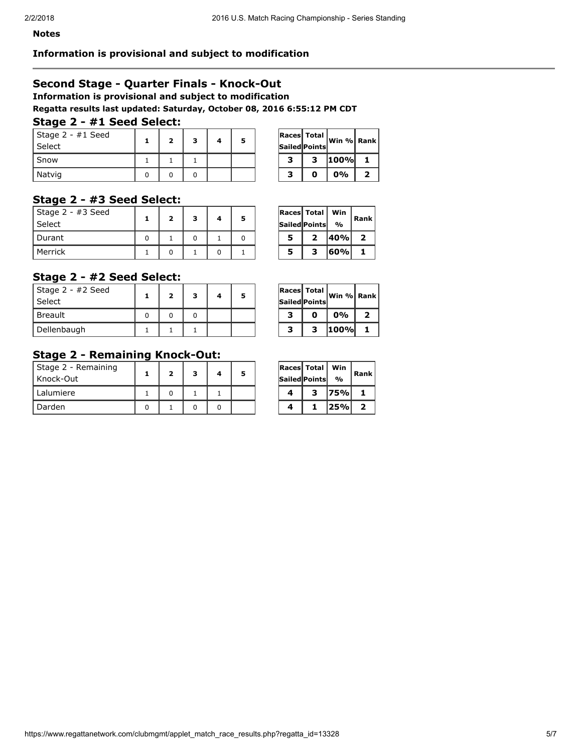#### Information is provisional and subject to modification

### Second Stage - Quarter Finals - Knock-Out

Information is provisional and subject to modification

Regatta results last updated: Saturday, October 08, 2016 6:55:12 PM CDT

# Stage 2 - #1 Seed Select:

| Stage 2 - #1 Seed<br>Select |  | 3 | 5 |   | <b>Races Total</b><br>Sailed Points | Win % Ran   |   |
|-----------------------------|--|---|---|---|-------------------------------------|-------------|---|
| Snow                        |  |   |   | , | 2                                   | <b>100%</b> |   |
| Natvig                      |  |   |   |   |                                     | 0%          | - |

| Races Total | Sailed Points | Win % Rank |   |
|-------------|---------------|------------|---|
| з           | з             | 100%l      | 1 |
| з           | n             | 0%         | 2 |

### Stage 2 - #3 Seed Select:

| Stage 2 - #3 Seed<br>Select |  | з |  |   | <b>Races Total</b><br><b>Sailed Points</b> | Win<br>$\frac{0}{0}$ | Ran |
|-----------------------------|--|---|--|---|--------------------------------------------|----------------------|-----|
| l Durant                    |  |   |  |   | э.                                         | 140%l                | ,   |
| Merrick                     |  |   |  | 5 | ,                                          | 160%I                |     |

| Races Total | Sailed Points | Win<br>% | Rank |
|-------------|---------------|----------|------|
| 5           | 2             | 40%      | 2    |
| 5           | з             | 60%      | 1.   |

### Stage 2 - #2 Seed Select:

| Stage 2 - #2 Seed<br>Select | ∍ | з | 5 |   | Sailed Points | $\overline{\text{Reess}}$ Total $\overline{\text{Win }\%}$ Rar |   |
|-----------------------------|---|---|---|---|---------------|----------------------------------------------------------------|---|
| <b>Breault</b>              |   |   |   | , | 0             | 0%                                                             | ∍ |
| Dellenbaugh                 |   |   |   |   |               | 100%                                                           |   |

|   | $ {\tt Races} $ Total $ $<br><b>Sailed Points</b> | Win % Rank |   |
|---|---------------------------------------------------|------------|---|
| з | 0                                                 | 0%         | 2 |
| з | з                                                 | 100%       | 1 |

#### Stage 2 - Remaining Knock-Out:

| Stage 2 - Remaining<br>  Knock-Out |  | з |  |  | <b>Races Total</b><br><b>Sailed Points</b> | Win<br>$\frac{0}{0}$ | Ran            |
|------------------------------------|--|---|--|--|--------------------------------------------|----------------------|----------------|
| Lalumiere                          |  |   |  |  | ,                                          | 75%                  |                |
| ' Darden                           |  |   |  |  |                                            | 25%                  | $\overline{2}$ |

| Races  Total |                | Win           | Rank |  |  |
|--------------|----------------|---------------|------|--|--|
|              | Sailed  Points | $\frac{0}{0}$ |      |  |  |
|              | з              | 75%           |      |  |  |
|              | 1              | 25%           | 2    |  |  |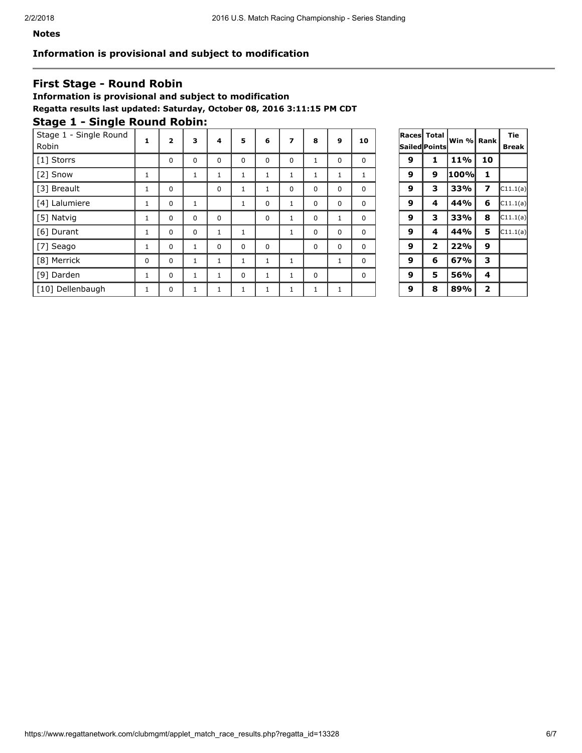#### Notes

#### Information is provisional and subject to modification

### First Stage - Round Robin

Information is provisional and subject to modification Regatta results last updated: Saturday, October 08, 2016 3:11:15 PM CDT

# Stage 1 - Single Round Robin:

| Stage 1 - Single Round<br>Robin | 1           | $\overline{2}$ | 3        | 4            | 5        | 6        | 7        | 8        | 9           | 10 |   | Races   Total  <br>Sailed Points | ∣Win %∥ Rank∣ |                | <b>Tie</b><br><b>Break</b> |
|---------------------------------|-------------|----------------|----------|--------------|----------|----------|----------|----------|-------------|----|---|----------------------------------|---------------|----------------|----------------------------|
| [1] Storrs                      |             | 0              | 0        | 0            | 0        | 0        | 0        |          | $\mathbf 0$ | 0  | 9 |                                  | <b>11%</b>    | 10             |                            |
| [2] Snow                        | T           |                | T.       | T            |          |          |          |          |             |    | 9 | 9                                | 100%          |                |                            |
| [3] Breault                     | T           | $\Omega$       |          | 0            |          |          | $\Omega$ | $\Omega$ | 0           | 0  | 9 | з                                | 33%           | 7              | CI1.1(a)                   |
| [4] Lalumiere                   |             | 0              |          |              |          | $\Omega$ |          | $\Omega$ | 0           | 0  | 9 | 4                                | 44%           | 6              | CI1.1(a)                   |
| [5] Natvig                      | T           | $\Omega$       | 0        | 0            |          | 0        |          | $\Omega$ |             | 0  | 9 | 3                                | 33%           | 8              | CI1.1(a)                   |
| [6] Durant                      |             | 0              | $\Omega$ | 1            |          |          |          | $\Omega$ | 0           | 0  | 9 | 4                                | 44%           | 5              | CI1.1(a)                   |
| [7] Seago                       | T           | $\Omega$       |          | 0            | $\Omega$ | $\Omega$ |          | $\Omega$ | $\mathbf 0$ | 0  | 9 | 2                                | 22%           | 9              |                            |
| [8] Merrick                     | $\mathbf 0$ | 0              | <b>T</b> | 1            | Ŧ.       |          |          |          | 1           | 0  | 9 | 6                                | 67%           | 3              |                            |
| [9] Darden                      |             | 0              |          | $\mathbf{1}$ | $\Omega$ |          |          | $\Omega$ |             | 0  | 9 | 5                                | 56%           | 4              |                            |
| [10] Dellenbaugh                |             | 0              |          |              |          |          |          |          |             |    | 9 | 8                                | 89%           | $\overline{2}$ |                            |

| Races | <b>Total</b>            |       |                         | Tie      |
|-------|-------------------------|-------|-------------------------|----------|
|       | Sailed Points           | Win % | Rank                    | Break    |
| 9     | 1                       | 11%   | 10                      |          |
| 9     | 9                       | 100%  | 1                       |          |
| 9     | з                       | 33%   | 7                       | C11.1(a) |
| 9     | 4                       | 44%   | 6                       | C11.1(a) |
| 9     | 3                       | 33%   | 8                       | C11.1(a) |
| 9     | 4                       | 44%   | 5                       | C11.1(a) |
| 9     | $\overline{\mathbf{2}}$ | 22%   | 9                       |          |
| 9     | 6                       | 67%   | 3                       |          |
| 9     | 5                       | 56%   | 4                       |          |
| 9     | 8                       | 89%   | $\overline{\mathbf{z}}$ |          |